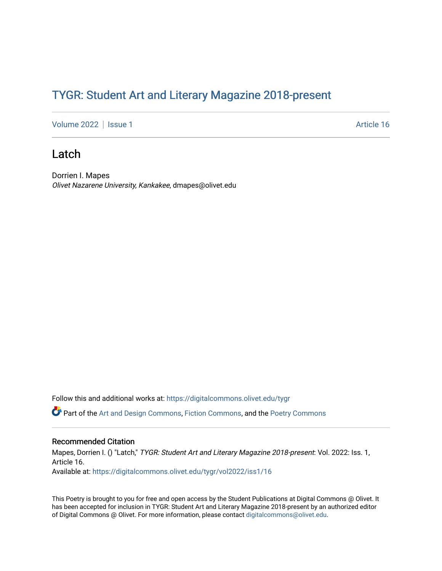## TYGR: Student Art and Literary Magazine 2018-present

[Volume 2022](https://digitalcommons.olivet.edu/tygr/vol2022) | [Issue 1](https://digitalcommons.olivet.edu/tygr/vol2022/iss1) Article 16

## Latch

Dorrien I. Mapes Olivet Nazarene University, Kankakee, dmapes@olivet.edu

Follow this and additional works at: [https://digitalcommons.olivet.edu/tygr](https://digitalcommons.olivet.edu/tygr?utm_source=digitalcommons.olivet.edu%2Ftygr%2Fvol2022%2Fiss1%2F16&utm_medium=PDF&utm_campaign=PDFCoverPages)

Part of the [Art and Design Commons](http://network.bepress.com/hgg/discipline/1049?utm_source=digitalcommons.olivet.edu%2Ftygr%2Fvol2022%2Fiss1%2F16&utm_medium=PDF&utm_campaign=PDFCoverPages), [Fiction Commons](http://network.bepress.com/hgg/discipline/1151?utm_source=digitalcommons.olivet.edu%2Ftygr%2Fvol2022%2Fiss1%2F16&utm_medium=PDF&utm_campaign=PDFCoverPages), and the [Poetry Commons](http://network.bepress.com/hgg/discipline/1153?utm_source=digitalcommons.olivet.edu%2Ftygr%2Fvol2022%2Fiss1%2F16&utm_medium=PDF&utm_campaign=PDFCoverPages) 

## Recommended Citation

Mapes, Dorrien I. () "Latch," TYGR: Student Art and Literary Magazine 2018-present: Vol. 2022: Iss. 1, Article 16. Available at: [https://digitalcommons.olivet.edu/tygr/vol2022/iss1/16](https://digitalcommons.olivet.edu/tygr/vol2022/iss1/16?utm_source=digitalcommons.olivet.edu%2Ftygr%2Fvol2022%2Fiss1%2F16&utm_medium=PDF&utm_campaign=PDFCoverPages) 

This Poetry is brought to you for free and open access by the Student Publications at Digital Commons @ Olivet. It has been accepted for inclusion in TYGR: Student Art and Literary Magazine 2018-present by an authorized editor of Digital Commons @ Olivet. For more information, please contact [digitalcommons@olivet.edu.](mailto:digitalcommons@olivet.edu)